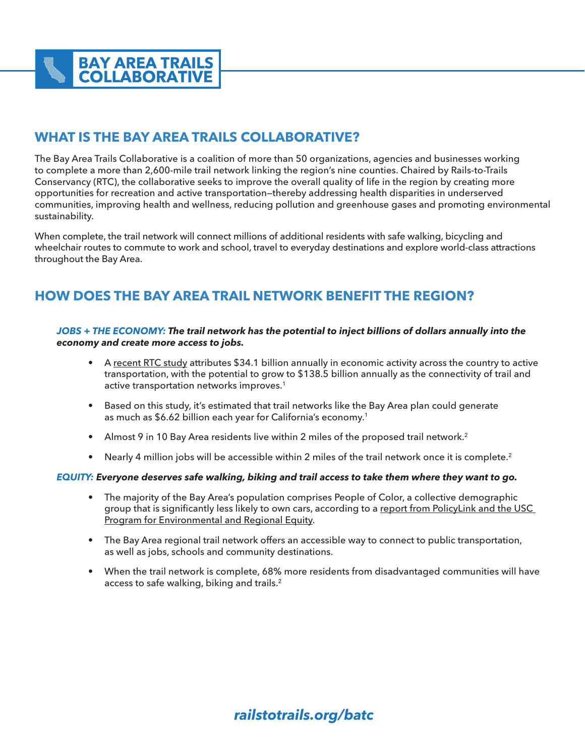# **WHAT IS THE BAY AREA TRAILS COLLABORATIVE?**

The Bay Area Trails Collaborative is a coalition of more than 50 organizations, agencies and businesses working to complete a more than 2,600-mile trail network linking the region's nine counties. Chaired by Rails-to-Trails Conservancy (RTC), the collaborative seeks to improve the overall quality of life in the region by creating more opportunities for recreation and active transportation—thereby addressing health disparities in underserved communities, improving health and wellness, reducing pollution and greenhouse gases and promoting environmental sustainability.

When complete, the trail network will connect millions of additional residents with safe walking, bicycling and wheelchair routes to commute to work and school, travel to everyday destinations and explore world-class attractions throughout the Bay Area.

# **HOW DOES THE BAY AREA TRAIL NETWORK BENEFIT THE REGION?**

### *JOBS + THE ECONOMY: The trail network has the potential to inject billions of dollars annually into the economy and create more access to jobs.*

- A [recent RTC study](https://www.railstotrails.org/resource-library/resources/active-transportation-transforms-america/?utm_source=atta-shortlink&utm_medium=web&utm_campaign=trailstransform) attributes \$34.1 billion annually in economic activity across the country to active transportation, with the potential to grow to \$138.5 billion annually as the connectivity of trail and active transportation networks improves.1
- Based on this study, it's estimated that trail networks like the Bay Area plan could generate as much as \$6.62 billion each year for California's economy.<sup>1</sup>
- Almost 9 in 10 Bay Area residents live within 2 miles of the proposed trail network.<sup>2</sup>
- Nearly 4 million jobs will be accessible within 2 miles of the trail network once it is complete.<sup>2</sup>

### *EQUITY: Everyone deserves safe walking, biking and trail access to take them where they want to go.*

- The majority of the Bay Area's population comprises People of Color, a collective demographic group that is significantly less likely to own cars, according to a [report from PolicyLink and the USC](https://bayareaequityatlas.org/sites/default/files/Final_9_County_BayAreaProfile_0.pdf)  [Program for Environmental and Regional Equity](https://bayareaequityatlas.org/sites/default/files/Final_9_County_BayAreaProfile_0.pdf).
- The Bay Area regional trail network offers an accessible way to connect to public transportation, as well as jobs, schools and community destinations.
- When the trail network is complete, 68% more residents from disadvantaged communities will have access to safe walking, biking and trails.<sup>2</sup>

# *railstotrails.org/batc*